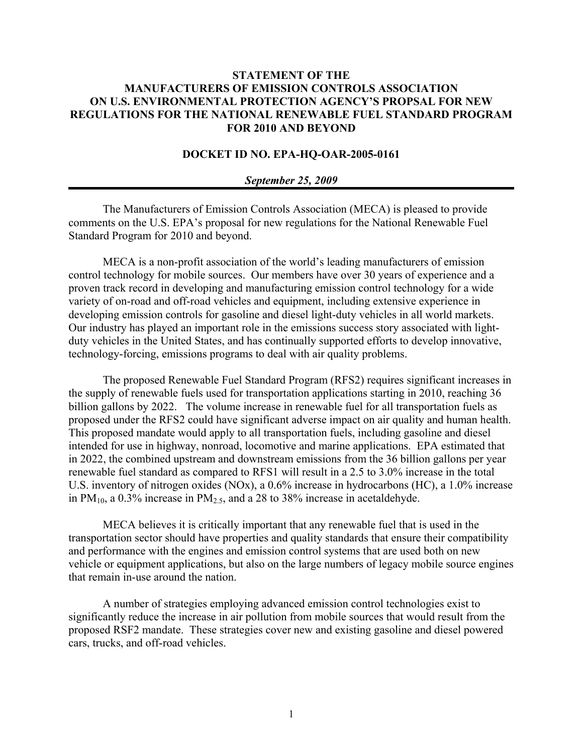## **STATEMENT OF THE MANUFACTURERS OF EMISSION CONTROLS ASSOCIATION ON U.S. ENVIRONMENTAL PROTECTION AGENCY'S PROPSAL FOR NEW REGULATIONS FOR THE NATIONAL RENEWABLE FUEL STANDARD PROGRAM FOR 2010 AND BEYOND**

## **DOCKET ID NO. EPA-HQ-OAR-2005-0161**

## *September 25, 2009*

The Manufacturers of Emission Controls Association (MECA) is pleased to provide comments on the U.S. EPA's proposal for new regulations for the National Renewable Fuel Standard Program for 2010 and beyond.

MECA is a non-profit association of the world's leading manufacturers of emission control technology for mobile sources. Our members have over 30 years of experience and a proven track record in developing and manufacturing emission control technology for a wide variety of on-road and off-road vehicles and equipment, including extensive experience in developing emission controls for gasoline and diesel light-duty vehicles in all world markets. Our industry has played an important role in the emissions success story associated with lightduty vehicles in the United States, and has continually supported efforts to develop innovative, technology-forcing, emissions programs to deal with air quality problems.

The proposed Renewable Fuel Standard Program (RFS2) requires significant increases in the supply of renewable fuels used for transportation applications starting in 2010, reaching 36 billion gallons by 2022. The volume increase in renewable fuel for all transportation fuels as proposed under the RFS2 could have significant adverse impact on air quality and human health. This proposed mandate would apply to all transportation fuels, including gasoline and diesel intended for use in highway, nonroad, locomotive and marine applications. EPA estimated that in 2022, the combined upstream and downstream emissions from the 36 billion gallons per year renewable fuel standard as compared to RFS1 will result in a 2.5 to 3.0% increase in the total U.S. inventory of nitrogen oxides (NOx), a 0.6% increase in hydrocarbons (HC), a 1.0% increase in  $PM_{10}$ , a 0.3% increase in  $PM_{2.5}$ , and a 28 to 38% increase in acetaldehyde.

MECA believes it is critically important that any renewable fuel that is used in the transportation sector should have properties and quality standards that ensure their compatibility and performance with the engines and emission control systems that are used both on new vehicle or equipment applications, but also on the large numbers of legacy mobile source engines that remain in-use around the nation.

A number of strategies employing advanced emission control technologies exist to significantly reduce the increase in air pollution from mobile sources that would result from the proposed RSF2 mandate. These strategies cover new and existing gasoline and diesel powered cars, trucks, and off-road vehicles.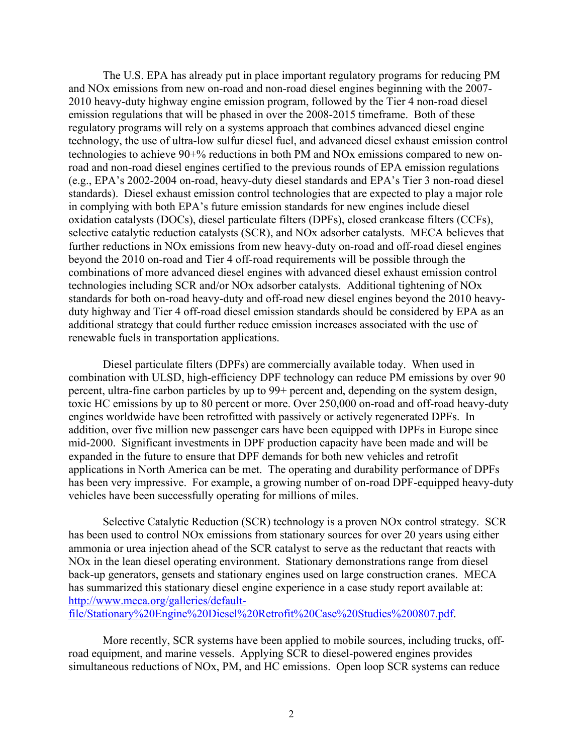The U.S. EPA has already put in place important regulatory programs for reducing PM and NOx emissions from new on-road and non-road diesel engines beginning with the 2007- 2010 heavy-duty highway engine emission program, followed by the Tier 4 non-road diesel emission regulations that will be phased in over the 2008-2015 timeframe. Both of these regulatory programs will rely on a systems approach that combines advanced diesel engine technology, the use of ultra-low sulfur diesel fuel, and advanced diesel exhaust emission control technologies to achieve 90+% reductions in both PM and NOx emissions compared to new onroad and non-road diesel engines certified to the previous rounds of EPA emission regulations (e.g., EPA's 2002-2004 on-road, heavy-duty diesel standards and EPA's Tier 3 non-road diesel standards). Diesel exhaust emission control technologies that are expected to play a major role in complying with both EPA's future emission standards for new engines include diesel oxidation catalysts (DOCs), diesel particulate filters (DPFs), closed crankcase filters (CCFs), selective catalytic reduction catalysts (SCR), and NOx adsorber catalysts. MECA believes that further reductions in NOx emissions from new heavy-duty on-road and off-road diesel engines beyond the 2010 on-road and Tier 4 off-road requirements will be possible through the combinations of more advanced diesel engines with advanced diesel exhaust emission control technologies including SCR and/or NOx adsorber catalysts. Additional tightening of NOx standards for both on-road heavy-duty and off-road new diesel engines beyond the 2010 heavyduty highway and Tier 4 off-road diesel emission standards should be considered by EPA as an additional strategy that could further reduce emission increases associated with the use of renewable fuels in transportation applications.

Diesel particulate filters (DPFs) are commercially available today. When used in combination with ULSD, high-efficiency DPF technology can reduce PM emissions by over 90 percent, ultra-fine carbon particles by up to 99+ percent and, depending on the system design, toxic HC emissions by up to 80 percent or more. Over 250,000 on-road and off-road heavy-duty engines worldwide have been retrofitted with passively or actively regenerated DPFs. In addition, over five million new passenger cars have been equipped with DPFs in Europe since mid-2000. Significant investments in DPF production capacity have been made and will be expanded in the future to ensure that DPF demands for both new vehicles and retrofit applications in North America can be met. The operating and durability performance of DPFs has been very impressive. For example, a growing number of on-road DPF-equipped heavy-duty vehicles have been successfully operating for millions of miles.

Selective Catalytic Reduction (SCR) technology is a proven NOx control strategy. SCR has been used to control NOx emissions from stationary sources for over 20 years using either ammonia or urea injection ahead of the SCR catalyst to serve as the reductant that reacts with NOx in the lean diesel operating environment. Stationary demonstrations range from diesel back-up generators, gensets and stationary engines used on large construction cranes. MECA has summarized this stationary diesel engine experience in a case study report available at: http://www.meca.org/galleries/defaultfile/Stationary%20Engine%20Diesel%20Retrofit%20Case%20Studies%200807.pdf.

More recently, SCR systems have been applied to mobile sources, including trucks, offroad equipment, and marine vessels. Applying SCR to diesel-powered engines provides simultaneous reductions of NOx, PM, and HC emissions. Open loop SCR systems can reduce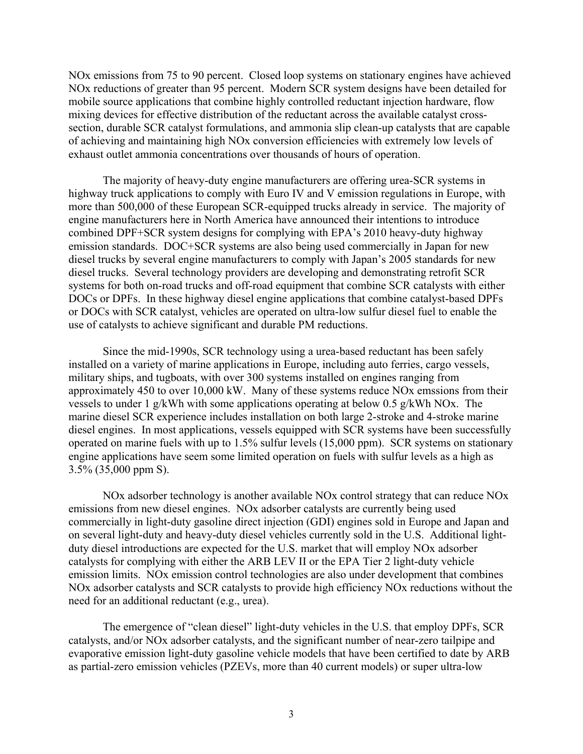NOx emissions from 75 to 90 percent. Closed loop systems on stationary engines have achieved NOx reductions of greater than 95 percent. Modern SCR system designs have been detailed for mobile source applications that combine highly controlled reductant injection hardware, flow mixing devices for effective distribution of the reductant across the available catalyst crosssection, durable SCR catalyst formulations, and ammonia slip clean-up catalysts that are capable of achieving and maintaining high NOx conversion efficiencies with extremely low levels of exhaust outlet ammonia concentrations over thousands of hours of operation.

The majority of heavy-duty engine manufacturers are offering urea-SCR systems in highway truck applications to comply with Euro IV and V emission regulations in Europe, with more than 500,000 of these European SCR-equipped trucks already in service. The majority of engine manufacturers here in North America have announced their intentions to introduce combined DPF+SCR system designs for complying with EPA's 2010 heavy-duty highway emission standards. DOC+SCR systems are also being used commercially in Japan for new diesel trucks by several engine manufacturers to comply with Japan's 2005 standards for new diesel trucks. Several technology providers are developing and demonstrating retrofit SCR systems for both on-road trucks and off-road equipment that combine SCR catalysts with either DOCs or DPFs. In these highway diesel engine applications that combine catalyst-based DPFs or DOCs with SCR catalyst, vehicles are operated on ultra-low sulfur diesel fuel to enable the use of catalysts to achieve significant and durable PM reductions.

Since the mid-1990s, SCR technology using a urea-based reductant has been safely installed on a variety of marine applications in Europe, including auto ferries, cargo vessels, military ships, and tugboats, with over 300 systems installed on engines ranging from approximately 450 to over 10,000 kW. Many of these systems reduce NOx emssions from their vessels to under 1 g/kWh with some applications operating at below 0.5 g/kWh NOx. The marine diesel SCR experience includes installation on both large 2-stroke and 4-stroke marine diesel engines. In most applications, vessels equipped with SCR systems have been successfully operated on marine fuels with up to 1.5% sulfur levels (15,000 ppm). SCR systems on stationary engine applications have seem some limited operation on fuels with sulfur levels as a high as 3.5% (35,000 ppm S).

NOx adsorber technology is another available NOx control strategy that can reduce NOx emissions from new diesel engines. NOx adsorber catalysts are currently being used commercially in light-duty gasoline direct injection (GDI) engines sold in Europe and Japan and on several light-duty and heavy-duty diesel vehicles currently sold in the U.S. Additional lightduty diesel introductions are expected for the U.S. market that will employ NOx adsorber catalysts for complying with either the ARB LEV II or the EPA Tier 2 light-duty vehicle emission limits. NOx emission control technologies are also under development that combines NOx adsorber catalysts and SCR catalysts to provide high efficiency NOx reductions without the need for an additional reductant (e.g., urea).

The emergence of "clean diesel" light-duty vehicles in the U.S. that employ DPFs, SCR catalysts, and/or NOx adsorber catalysts, and the significant number of near-zero tailpipe and evaporative emission light-duty gasoline vehicle models that have been certified to date by ARB as partial-zero emission vehicles (PZEVs, more than 40 current models) or super ultra-low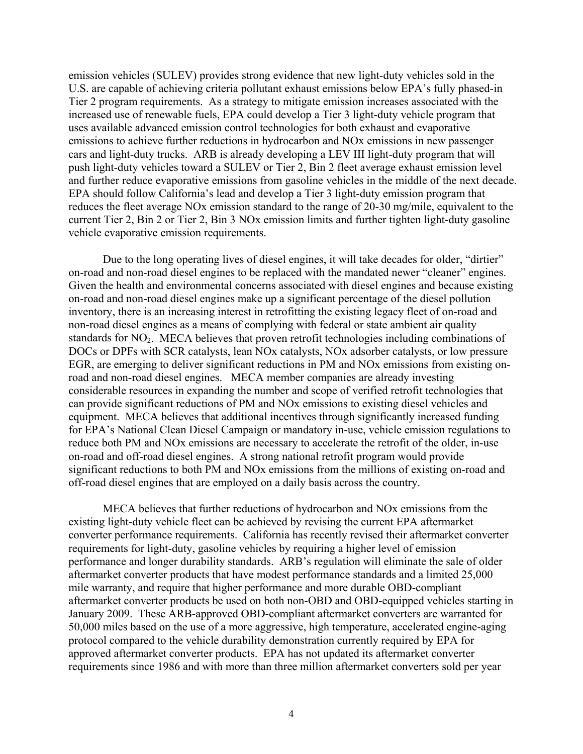emission vehicles (SULEV) provides strong evidence that new light-duty vehicles sold in the U.S. are capable of achieving criteria pollutant exhaust emissions below EPA's fully phased-in Tier 2 program requirements. As a strategy to mitigate emission increases associated with the increased use of renewable fuels, EPA could develop a Tier 3 light-duty vehicle program that uses available advanced emission control technologies for both exhaust and evaporative emissions to achieve further reductions in hydrocarbon and NOx emissions in new passenger cars and light-duty trucks. ARB is already developing a LEV III light-duty program that will push light-duty vehicles toward a SULEV or Tier 2, Bin 2 fleet average exhaust emission level and further reduce evaporative emissions from gasoline vehicles in the middle of the next decade. EPA should follow California's lead and develop a Tier 3 light-duty emission program that reduces the fleet average NOx emission standard to the range of 20-30 mg/mile, equivalent to the current Tier 2, Bin 2 or Tier 2, Bin 3 NOx emission limits and further tighten light-duty gasoline vehicle evaporative emission requirements.

Due to the long operating lives of diesel engines, it will take decades for older, "dirtier" on-road and non-road diesel engines to be replaced with the mandated newer "cleaner" engines. Given the health and environmental concerns associated with diesel engines and because existing on-road and non-road diesel engines make up a significant percentage of the diesel pollution inventory, there is an increasing interest in retrofitting the existing legacy fleet of on-road and non-road diesel engines as a means of complying with federal or state ambient air quality standards for NO<sub>2</sub>. MECA believes that proven retrofit technologies including combinations of DOCs or DPFs with SCR catalysts, lean NOx catalysts, NOx adsorber catalysts, or low pressure EGR, are emerging to deliver significant reductions in PM and NOx emissions from existing onroad and non-road diesel engines. MECA member companies are already investing considerable resources in expanding the number and scope of verified retrofit technologies that can provide significant reductions of PM and NOx emissions to existing diesel vehicles and equipment. MECA believes that additional incentives through significantly increased funding for EPA's National Clean Diesel Campaign or mandatory in-use, vehicle emission regulations to reduce both PM and NOx emissions are necessary to accelerate the retrofit of the older, in-use on-road and off-road diesel engines. A strong national retrofit program would provide significant reductions to both PM and NOx emissions from the millions of existing on-road and off-road diesel engines that are employed on a daily basis across the country.

MECA believes that further reductions of hydrocarbon and NOx emissions from the existing light-duty vehicle fleet can be achieved by revising the current EPA aftermarket converter performance requirements. California has recently revised their aftermarket converter requirements for light-duty, gasoline vehicles by requiring a higher level of emission performance and longer durability standards. ARB's regulation will eliminate the sale of older aftermarket converter products that have modest performance standards and a limited 25,000 mile warranty, and require that higher performance and more durable OBD-compliant aftermarket converter products be used on both non-OBD and OBD-equipped vehicles starting in January 2009. These ARB-approved OBD-compliant aftermarket converters are warranted for 50,000 miles based on the use of a more aggressive, high temperature, accelerated engine-aging protocol compared to the vehicle durability demonstration currently required by EPA for approved aftermarket converter products. EPA has not updated its aftermarket converter requirements since 1986 and with more than three million aftermarket converters sold per year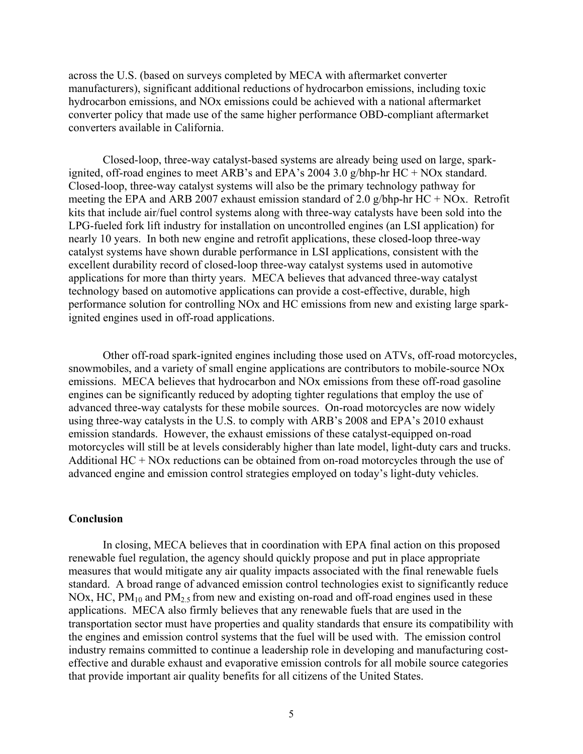across the U.S. (based on surveys completed by MECA with aftermarket converter manufacturers), significant additional reductions of hydrocarbon emissions, including toxic hydrocarbon emissions, and NOx emissions could be achieved with a national aftermarket converter policy that made use of the same higher performance OBD-compliant aftermarket converters available in California.

Closed-loop, three-way catalyst-based systems are already being used on large, sparkignited, off-road engines to meet ARB's and EPA's 2004 3.0 g/bhp-hr HC + NOx standard. Closed-loop, three-way catalyst systems will also be the primary technology pathway for meeting the EPA and ARB 2007 exhaust emission standard of 2.0 g/bhp-hr  $HC + NOx$ . Retrofit kits that include air/fuel control systems along with three-way catalysts have been sold into the LPG-fueled fork lift industry for installation on uncontrolled engines (an LSI application) for nearly 10 years. In both new engine and retrofit applications, these closed-loop three-way catalyst systems have shown durable performance in LSI applications, consistent with the excellent durability record of closed-loop three-way catalyst systems used in automotive applications for more than thirty years. MECA believes that advanced three-way catalyst technology based on automotive applications can provide a cost-effective, durable, high performance solution for controlling NOx and HC emissions from new and existing large sparkignited engines used in off-road applications.

Other off-road spark-ignited engines including those used on ATVs, off-road motorcycles, snowmobiles, and a variety of small engine applications are contributors to mobile-source NOx emissions. MECA believes that hydrocarbon and NOx emissions from these off-road gasoline engines can be significantly reduced by adopting tighter regulations that employ the use of advanced three-way catalysts for these mobile sources. On-road motorcycles are now widely using three-way catalysts in the U.S. to comply with ARB's 2008 and EPA's 2010 exhaust emission standards. However, the exhaust emissions of these catalyst-equipped on-road motorcycles will still be at levels considerably higher than late model, light-duty cars and trucks. Additional HC + NOx reductions can be obtained from on-road motorcycles through the use of advanced engine and emission control strategies employed on today's light-duty vehicles.

## **Conclusion**

In closing, MECA believes that in coordination with EPA final action on this proposed renewable fuel regulation, the agency should quickly propose and put in place appropriate measures that would mitigate any air quality impacts associated with the final renewable fuels standard. A broad range of advanced emission control technologies exist to significantly reduce NOx, HC,  $PM_{10}$  and  $PM_{2.5}$  from new and existing on-road and off-road engines used in these applications. MECA also firmly believes that any renewable fuels that are used in the transportation sector must have properties and quality standards that ensure its compatibility with the engines and emission control systems that the fuel will be used with. The emission control industry remains committed to continue a leadership role in developing and manufacturing costeffective and durable exhaust and evaporative emission controls for all mobile source categories that provide important air quality benefits for all citizens of the United States.